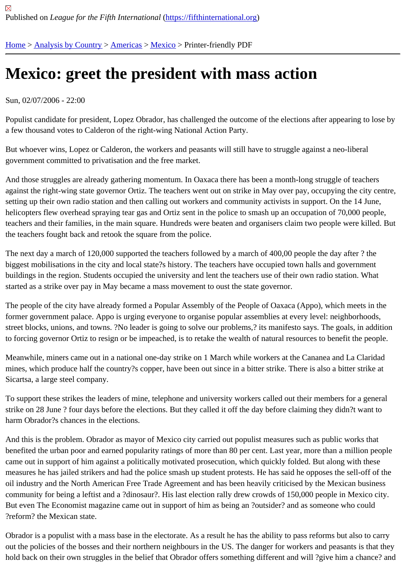## [Me](https://fifthinternational.org/)[xico: greet](https://fifthinternational.org/category/1) [the p](https://fifthinternational.org/category/1/56)r[esid](https://fifthinternational.org/category/1/56/78)ent with mass action

## Sun, 02/07/2006 - 22:00

Populist candidate for president, Lopez Obrador, has challenged the outcome of the elections after appearing to lo a few thousand votes to Calderon of the right-wing National Action Party.

But whoever wins, Lopez or Calderon, the workers and peasants will still have to struggle against a neo-liberal government committed to privatisation and the free market.

And those struggles are already gathering momentum. In Oaxaca there has been a month-long struggle of teache against the right-wing state governor Ortiz. The teachers went out on strike in May over pay, occupying the city ce setting up their own radio station and then calling out workers and community activists in support. On the 14 June, helicopters flew overhead spraying tear gas and Ortiz sent in the police to smash up an occupation of 70,000 peop teachers and their families, in the main square. Hundreds were beaten and organisers claim two people were kille the teachers fought back and retook the square from the police.

The next day a march of 120,000 supported the teachers followed by a march of 400,00 people the day after ? the biggest mobilisations in the city and local state?s history. The teachers have occupied town halls and government buildings in the region. Students occupied the university and lent the teachers use of their own radio station. What started as a strike over pay in May became a mass movement to oust the state governor.

The people of the city have already formed a Popular Assembly of the People of Oaxaca (Appo), which meets in tl former government palace. Appo is urging everyone to organise popular assemblies at every level: neighborhoods, street blocks, unions, and towns. ?No leader is going to solve our problems,? its manifesto says. The goals, in add to forcing governor Ortiz to resign or be impeached, is to retake the wealth of natural resources to benefit the peop

Meanwhile, miners came out in a national one-day strike on 1 March while workers at the Cananea and La Clarida mines, which produce half the country?s copper, have been out since in a bitter strike. There is also a bitter strike at Sicartsa, a large steel company.

To support these strikes the leaders of mine, telephone and university workers called out their members for a gene strike on 28 June ? four days before the elections. But they called it off the day before claiming they didn?t want to harm Obrador?s chances in the elections.

And this is the problem. Obrador as mayor of Mexico city carried out populist measures such as public works that benefited the urban poor and earned popularity ratings of more than 80 per cent. Last year, more than a million pe came out in support of him against a politically motivated prosecution, which quickly folded. But along with these measures he has jailed strikers and had the police smash up student protests. He has said he opposes the sell-of oil industry and the North American Free Trade Agreement and has been heavily criticised by the Mexican busines community for being a leftist and a ?dinosaur?. His last election rally drew crowds of 150,000 people in Mexico city. But even The Economist magazine came out in support of him as being an ?outsider? and as someone who could ?reform? the Mexican state.

Obrador is a populist with a mass base in the electorate. As a result he has the ability to pass reforms but also to d out the policies of the bosses and their northern neighbours in the US. The danger for workers and peasants is tha hold back on their own struggles in the belief that Obrador offers something different and will ?give him a chance?